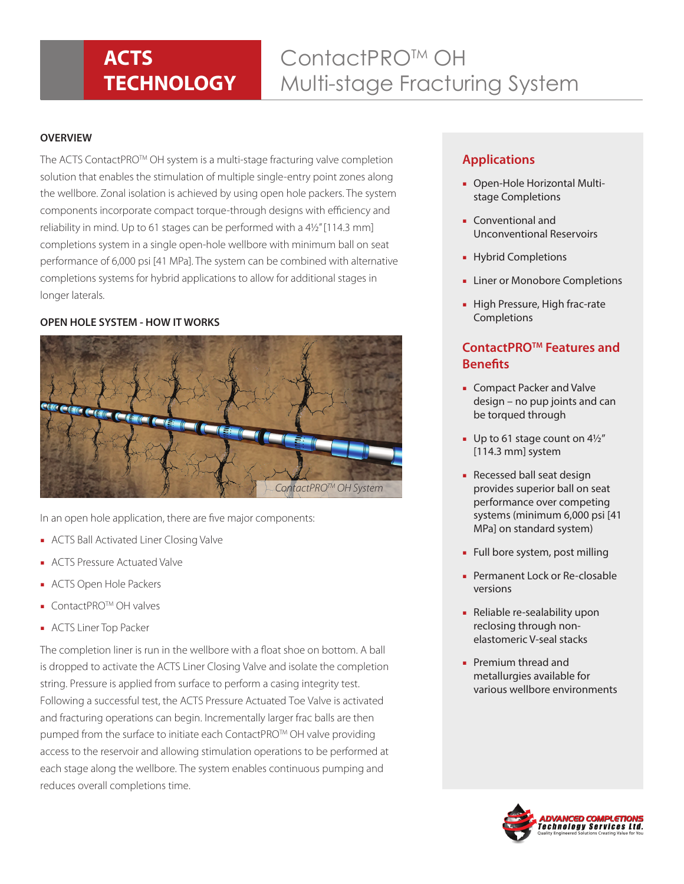## **ACTS TECHNOLOGY**

# ContactPRO<sup>™</sup> OH Multi-stage Fracturing System

#### **OVERVIEW**

The ACTS ContactPRO™ OH system is a multi-stage fracturing valve completion solution that enables the stimulation of multiple single-entry point zones along the wellbore. Zonal isolation is achieved by using open hole packers. The system components incorporate compact torque-through designs with efficiency and reliability in mind. Up to 61 stages can be performed with a 41/2" [114.3 mm] completions system in a single open-hole wellbore with minimum ball on seat performance of 6,000 psi [41 MPa]. The system can be combined with alternative completions systems for hybrid applications to allow for additional stages in longer laterals.

### **OPEN HOLE SYSTEM - HOW IT WORKS**



In an open hole application, there are five major components:

- ACTS Ball Activated Liner Closing Valve
- ACTS Pressure Actuated Valve
- ACTS Open Hole Packers
- ContactPRO<sup>™</sup> OH valves
- ACTS Liner Top Packer

The completion liner is run in the wellbore with a float shoe on bottom. A ball is dropped to activate the ACTS Liner Closing Valve and isolate the completion string. Pressure is applied from surface to perform a casing integrity test. Following a successful test, the ACTS Pressure Actuated Toe Valve is activated and fracturing operations can begin. Incrementally larger frac balls are then pumped from the surface to initiate each ContactPRO™ OH valve providing access to the reservoir and allowing stimulation operations to be performed at each stage along the wellbore. The system enables continuous pumping and reduces overall completions time.

## **Applications**

- Open-Hole Horizontal Multistage Completions
- Conventional and Unconventional Reservoirs
- Hybrid Completions
- Liner or Monobore Completions
- High Pressure, High frac-rate **Completions**

## **ContactPROTM Features and Benefits**

- Compact Packer and Valve design – no pup joints and can be torqued through
- $\blacksquare$  Up to 61 stage count on 4 $1/2''$ [114.3 mm] system
- Recessed ball seat design provides superior ball on seat performance over competing systems (minimum 6,000 psi [41 MPa] on standard system)
- Full bore system, post milling
- Permanent Lock or Re-closable versions
- Reliable re-sealability upon reclosing through nonelastomeric V-seal stacks
- Premium thread and metallurgies available for various wellbore environments